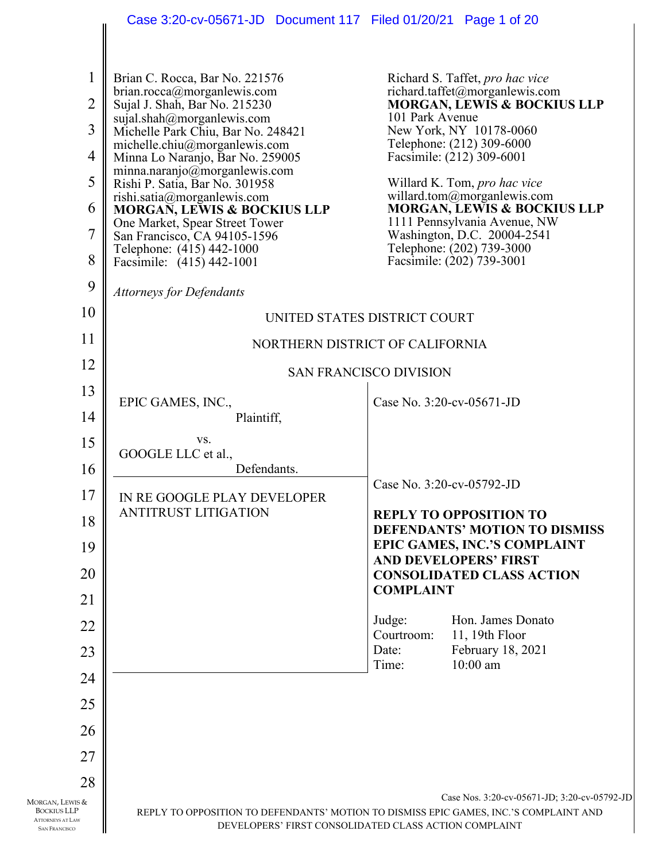|                                                                                          | Case 3:20-cv-05671-JD  Document 117  Filed 01/20/21  Page 1 of 20                                                                              |                               |                                                                        |
|------------------------------------------------------------------------------------------|------------------------------------------------------------------------------------------------------------------------------------------------|-------------------------------|------------------------------------------------------------------------|
|                                                                                          |                                                                                                                                                |                               |                                                                        |
| 1                                                                                        | Brian C. Rocca, Bar No. 221576<br>brian.rocca@morganlewis.com                                                                                  |                               | Richard S. Taffet, pro hac vice<br>richard.taffet@morganlewis.com      |
| $\overline{2}$                                                                           | Sujal J. Shah, Bar No. 215230                                                                                                                  |                               | <b>MORGAN, LEWIS &amp; BOCKIUS LLP</b>                                 |
| 3                                                                                        | sujal.shah@morganlewis.com<br>Michelle Park Chiu, Bar No. 248421                                                                               | 101 Park Avenue               | New York, NY 10178-0060                                                |
| 4                                                                                        | michelle.chiu@morganlewis.com<br>Minna Lo Naranjo, Bar No. 259005                                                                              |                               | Telephone: (212) 309-6000<br>Facsimile: (212) 309-6001                 |
| 5                                                                                        | minna.naranjo@morganlewis.com<br>Rishi P. Satia, Bar No. 301958                                                                                |                               | Willard K. Tom, <i>pro hac vice</i>                                    |
|                                                                                          | rishi.satia@morganlewis.com                                                                                                                    |                               | willard.tom@morganlewis.com                                            |
| 6                                                                                        | <b>MORGAN, LEWIS &amp; BOCKIUS LLP</b><br>One Market, Spear Street Tower                                                                       |                               | <b>MORGAN, LEWIS &amp; BOCKIUS LLP</b><br>1111 Pennsylvania Avenue, NW |
| 7                                                                                        | San Francisco, CA 94105-1596<br>Telephone: (415) 442-1000                                                                                      |                               | Washington, D.C. 20004-2541<br>Telephone: (202) 739-3000               |
| 8                                                                                        | Facsimile: (415) 442-1001                                                                                                                      |                               | Facsimile: (202) 739-3001                                              |
| 9                                                                                        | <b>Attorneys for Defendants</b>                                                                                                                |                               |                                                                        |
| 10                                                                                       | UNITED STATES DISTRICT COURT                                                                                                                   |                               |                                                                        |
| 11                                                                                       | NORTHERN DISTRICT OF CALIFORNIA                                                                                                                |                               |                                                                        |
| 12                                                                                       |                                                                                                                                                | <b>SAN FRANCISCO DIVISION</b> |                                                                        |
| 13                                                                                       | EPIC GAMES, INC.,                                                                                                                              |                               | Case No. 3:20-cv-05671-JD                                              |
| 14                                                                                       | Plaintiff,                                                                                                                                     |                               |                                                                        |
| 15                                                                                       | VS.                                                                                                                                            |                               |                                                                        |
| 16                                                                                       | GOOGLE LLC et al.,<br>Defendants.                                                                                                              |                               |                                                                        |
| 17                                                                                       | IN RE GOOGLE PLAY DEVELOPER                                                                                                                    |                               | Case No. 3:20-cv-05792-JD                                              |
| 18                                                                                       | <b>ANTITRUST LITIGATION</b>                                                                                                                    |                               | <b>REPLY TO OPPOSITION TO</b>                                          |
|                                                                                          |                                                                                                                                                |                               | <b>DEFENDANTS' MOTION TO DISMISS</b><br>EPIC GAMES, INC.'S COMPLAINT   |
| 19                                                                                       |                                                                                                                                                |                               | <b>AND DEVELOPERS' FIRST</b>                                           |
| 20                                                                                       |                                                                                                                                                | <b>COMPLAINT</b>              | <b>CONSOLIDATED CLASS ACTION</b>                                       |
| 21                                                                                       |                                                                                                                                                |                               |                                                                        |
| 22                                                                                       |                                                                                                                                                | Judge:<br>Courtroom:          | Hon. James Donato<br>11, 19th Floor                                    |
| 23                                                                                       |                                                                                                                                                | Date:                         | February 18, 2021                                                      |
| 24                                                                                       |                                                                                                                                                | Time:                         | $10:00$ am                                                             |
| 25                                                                                       |                                                                                                                                                |                               |                                                                        |
|                                                                                          |                                                                                                                                                |                               |                                                                        |
| 26                                                                                       |                                                                                                                                                |                               |                                                                        |
| 27                                                                                       |                                                                                                                                                |                               |                                                                        |
| 28                                                                                       |                                                                                                                                                |                               | Case Nos. 3:20-cv-05671-JD; 3:20-cv-05792-JD                           |
| IORGAN, LEWIS &<br><b>BOCKIUS LLP</b><br><b>ATTORNEYS AT LAW</b><br><b>SAN FRANCISCO</b> | REPLY TO OPPOSITION TO DEFENDANTS' MOTION TO DISMISS EPIC GAMES, INC.'S COMPLAINT AND<br>DEVELOPERS' FIRST CONSOLIDATED CLASS ACTION COMPLAINT |                               |                                                                        |

MORGAN,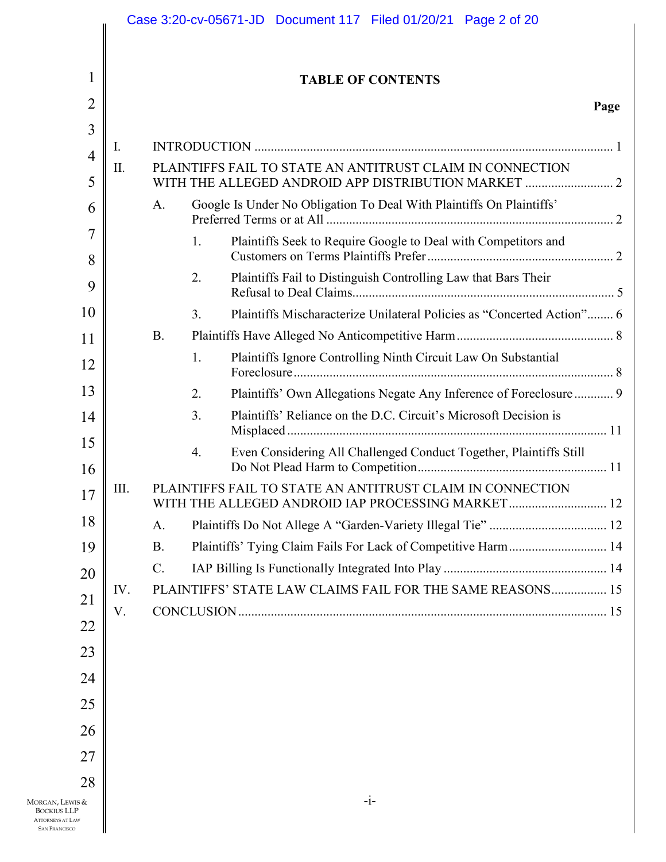|                                                                                                |           |           |    | Case 3:20-cv-05671-JD  Document 117  Filed 01/20/21  Page 2 of 20                                              |      |
|------------------------------------------------------------------------------------------------|-----------|-----------|----|----------------------------------------------------------------------------------------------------------------|------|
|                                                                                                |           |           |    |                                                                                                                |      |
| 1                                                                                              |           |           |    | <b>TABLE OF CONTENTS</b>                                                                                       |      |
| $\overline{2}$                                                                                 |           |           |    |                                                                                                                | Page |
| 3                                                                                              |           |           |    |                                                                                                                |      |
| $\overline{4}$                                                                                 | Ι.<br>II. |           |    | PLAINTIFFS FAIL TO STATE AN ANTITRUST CLAIM IN CONNECTION                                                      |      |
| 5                                                                                              |           |           |    |                                                                                                                |      |
| 6                                                                                              |           | A.        |    | Google Is Under No Obligation To Deal With Plaintiffs On Plaintiffs'                                           |      |
| $\overline{7}$                                                                                 |           |           | 1. | Plaintiffs Seek to Require Google to Deal with Competitors and                                                 |      |
| 8<br>9                                                                                         |           |           | 2. | Plaintiffs Fail to Distinguish Controlling Law that Bars Their                                                 |      |
| 10                                                                                             |           |           | 3. | Plaintiffs Mischaracterize Unilateral Policies as "Concerted Action" 6                                         |      |
| 11                                                                                             |           | <b>B.</b> |    |                                                                                                                |      |
| 12                                                                                             |           |           | 1. | Plaintiffs Ignore Controlling Ninth Circuit Law On Substantial                                                 |      |
| 13                                                                                             |           |           | 2. | Plaintiffs' Own Allegations Negate Any Inference of Foreclosure 9                                              |      |
| 14                                                                                             |           |           | 3. | Plaintiffs' Reliance on the D.C. Circuit's Microsoft Decision is                                               |      |
| 15<br>16                                                                                       |           |           | 4. | Even Considering All Challenged Conduct Together, Plaintiffs Still                                             |      |
| 17                                                                                             | III.      |           |    | PLAINTIFFS FAIL TO STATE AN ANTITRUST CLAIM IN CONNECTION<br>WITH THE ALLEGED ANDROID IAP PROCESSING MARKET 12 |      |
| 18                                                                                             |           | A.        |    |                                                                                                                |      |
| 19                                                                                             |           | <b>B.</b> |    | Plaintiffs' Tying Claim Fails For Lack of Competitive Harm 14                                                  |      |
| 20                                                                                             |           | $C$ .     |    |                                                                                                                |      |
| 21                                                                                             | IV.       |           |    | PLAINTIFFS' STATE LAW CLAIMS FAIL FOR THE SAME REASONS 15                                                      |      |
| 22                                                                                             | V.        |           |    |                                                                                                                |      |
| 23                                                                                             |           |           |    |                                                                                                                |      |
| 24                                                                                             |           |           |    |                                                                                                                |      |
| 25                                                                                             |           |           |    |                                                                                                                |      |
| 26                                                                                             |           |           |    |                                                                                                                |      |
| 27                                                                                             |           |           |    |                                                                                                                |      |
|                                                                                                |           |           |    |                                                                                                                |      |
| 28<br>Morgan, Lewis &<br><b>BOCKIUS LLP</b><br><b>ATTORNEYS AT LAW</b><br><b>SAN FRANCISCO</b> |           |           |    | $-i-$                                                                                                          |      |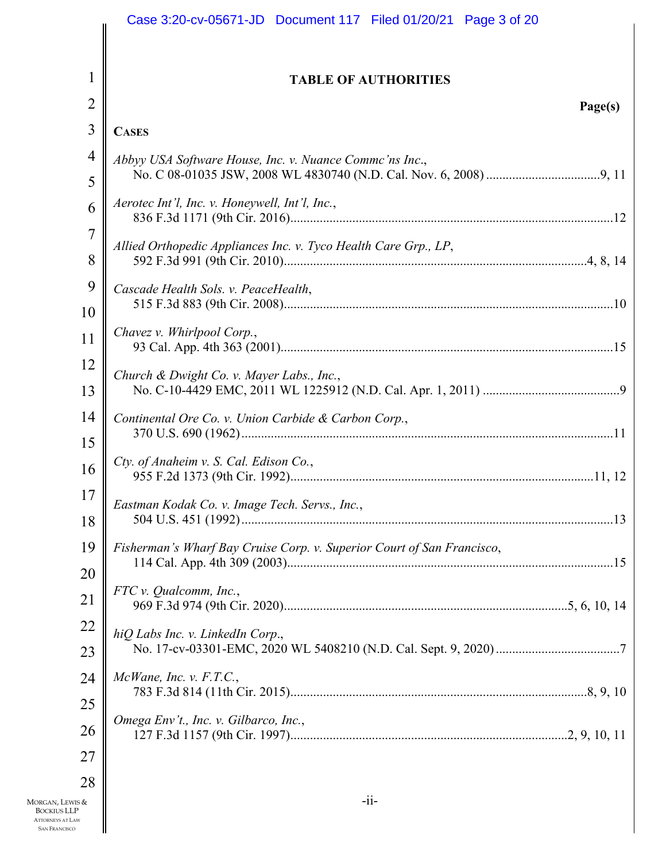|                                                                       | Case 3:20-cv-05671-JD  Document 117  Filed 01/20/21  Page 3 of 20      |
|-----------------------------------------------------------------------|------------------------------------------------------------------------|
|                                                                       |                                                                        |
| 1                                                                     | <b>TABLE OF AUTHORITIES</b>                                            |
| $\overline{2}$                                                        | Page(s)                                                                |
| 3                                                                     | <b>CASES</b>                                                           |
| 4                                                                     | Abbyy USA Software House, Inc. v. Nuance Commc'ns Inc.,                |
| 5                                                                     |                                                                        |
| 6                                                                     | Aerotec Int'l, Inc. v. Honeywell, Int'l, Inc.,                         |
| 7                                                                     | Allied Orthopedic Appliances Inc. v. Tyco Health Care Grp., LP,        |
| 8                                                                     |                                                                        |
| 9                                                                     | Cascade Health Sols. v. PeaceHealth,                                   |
| 10                                                                    |                                                                        |
| 11                                                                    | Chavez v. Whirlpool Corp.,                                             |
| 12                                                                    | Church & Dwight Co. v. Mayer Labs., Inc.,                              |
| 13                                                                    |                                                                        |
| 14                                                                    | Continental Ore Co. v. Union Carbide & Carbon Corp.,                   |
| 15                                                                    | Cty. of Anaheim v. S. Cal. Edison Co.,                                 |
| 16                                                                    |                                                                        |
| 17                                                                    | Eastman Kodak Co. v. Image Tech. Servs., Inc.,                         |
| 18                                                                    |                                                                        |
| 19                                                                    | Fisherman's Wharf Bay Cruise Corp. v. Superior Court of San Francisco, |
| 20                                                                    | FTC v. Qualcomm, Inc.,                                                 |
| 21                                                                    |                                                                        |
| 22                                                                    | hiQ Labs Inc. v. LinkedIn Corp.,                                       |
| 23                                                                    |                                                                        |
| 24                                                                    | $McWane$ , Inc. v. $F.T.C.,$                                           |
| 25                                                                    | Omega Env't., Inc. v. Gilbarco, Inc.,                                  |
| 26                                                                    |                                                                        |
| 27                                                                    |                                                                        |
| 28<br>Morgan, Lewis &                                                 | $-ii-$                                                                 |
| <b>BOCKIUS LLP</b><br><b>ATTORNEYS AT LAW</b><br><b>SAN FRANCISCO</b> |                                                                        |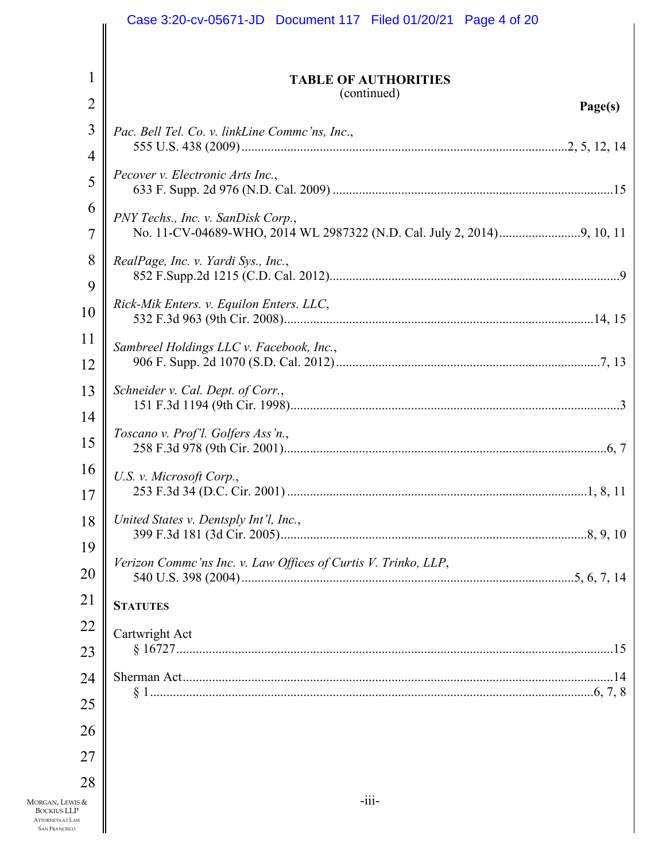|                                                                       | Case 3:20-cv-05671-JD  Document 117  Filed 01/20/21  Page 4 of 20 |
|-----------------------------------------------------------------------|-------------------------------------------------------------------|
|                                                                       |                                                                   |
| 1                                                                     | <b>TABLE OF AUTHORITIES</b>                                       |
| $\overline{2}$                                                        | (continued)<br>Page(s)                                            |
| 3                                                                     | Pac. Bell Tel. Co. v. linkLine Commc'ns, Inc.,                    |
| 4                                                                     |                                                                   |
| 5                                                                     | Pecover v. Electronic Arts Inc.,                                  |
| 6                                                                     | PNY Techs., Inc. v. SanDisk Corp.,                                |
| 7                                                                     |                                                                   |
| 8                                                                     | RealPage, Inc. v. Yardi Sys., Inc.,                               |
| 9                                                                     | Rick-Mik Enters. v. Equilon Enters. LLC,                          |
| 10                                                                    |                                                                   |
| 11                                                                    | Sambreel Holdings LLC v. Facebook, Inc.,                          |
| 12                                                                    |                                                                   |
| 13                                                                    | Schneider v. Cal. Dept. of Corr.,                                 |
| 14                                                                    | Toscano v. Prof'l. Golfers Ass'n.,                                |
| 15                                                                    |                                                                   |
| 16                                                                    | U.S. v. Microsoft Corp.,                                          |
| 17                                                                    |                                                                   |
| 18                                                                    | United States v. Dentsply Int'l, Inc.,                            |
| 19                                                                    | Verizon Commc'ns Inc. v. Law Offices of Curtis V. Trinko, LLP,    |
| 20                                                                    |                                                                   |
| 21                                                                    | <b>STATUTES</b>                                                   |
| 22                                                                    | Cartwright Act                                                    |
| 23                                                                    |                                                                   |
| 24                                                                    |                                                                   |
| 25                                                                    |                                                                   |
| 26                                                                    |                                                                   |
| 27                                                                    |                                                                   |
| 28<br>MORGAN, LEWIS &                                                 | $-iii-$                                                           |
| <b>BOCKIUS LLP</b><br><b>ATTORNEYS AT LAW</b><br><b>SAN FRANCISCO</b> |                                                                   |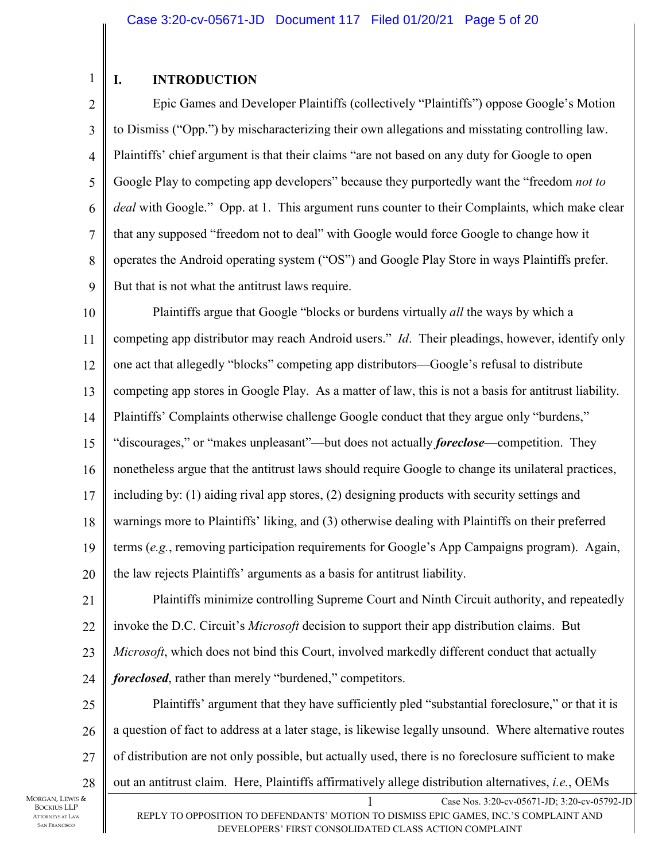# 1

## **I. INTRODUCTION**

2 3 4 5 6 7 8 9 Epic Games and Developer Plaintiffs (collectively "Plaintiffs") oppose Google's Motion to Dismiss ("Opp.") by mischaracterizing their own allegations and misstating controlling law. Plaintiffs' chief argument is that their claims "are not based on any duty for Google to open Google Play to competing app developers" because they purportedly want the "freedom *not to deal* with Google." Opp. at 1. This argument runs counter to their Complaints, which make clear that any supposed "freedom not to deal" with Google would force Google to change how it operates the Android operating system ("OS") and Google Play Store in ways Plaintiffs prefer. But that is not what the antitrust laws require.

10 11 12 13 14 15 16 17 18 19 20 Plaintiffs argue that Google "blocks or burdens virtually *all* the ways by which a competing app distributor may reach Android users." *Id*. Their pleadings, however, identify only one act that allegedly "blocks" competing app distributors—Google's refusal to distribute competing app stores in Google Play. As a matter of law, this is not a basis for antitrust liability. Plaintiffs' Complaints otherwise challenge Google conduct that they argue only "burdens," "discourages," or "makes unpleasant"—but does not actually *foreclose*—competition. They nonetheless argue that the antitrust laws should require Google to change its unilateral practices, including by: (1) aiding rival app stores, (2) designing products with security settings and warnings more to Plaintiffs' liking, and (3) otherwise dealing with Plaintiffs on their preferred terms (*e.g.*, removing participation requirements for Google's App Campaigns program). Again, the law rejects Plaintiffs' arguments as a basis for antitrust liability.

21 22 23 24 Plaintiffs minimize controlling Supreme Court and Ninth Circuit authority, and repeatedly invoke the D.C. Circuit's *Microsoft* decision to support their app distribution claims. But *Microsoft*, which does not bind this Court, involved markedly different conduct that actually *foreclosed*, rather than merely "burdened," competitors.

1 Case Nos. 3:20-cv-05671-JD; 3:20-cv-05792-JD 25 26 27 28 Plaintiffs' argument that they have sufficiently pled "substantial foreclosure," or that it is a question of fact to address at a later stage, is likewise legally unsound. Where alternative routes of distribution are not only possible, but actually used, there is no foreclosure sufficient to make out an antitrust claim. Here, Plaintiffs affirmatively allege distribution alternatives, *i.e.*, OEMs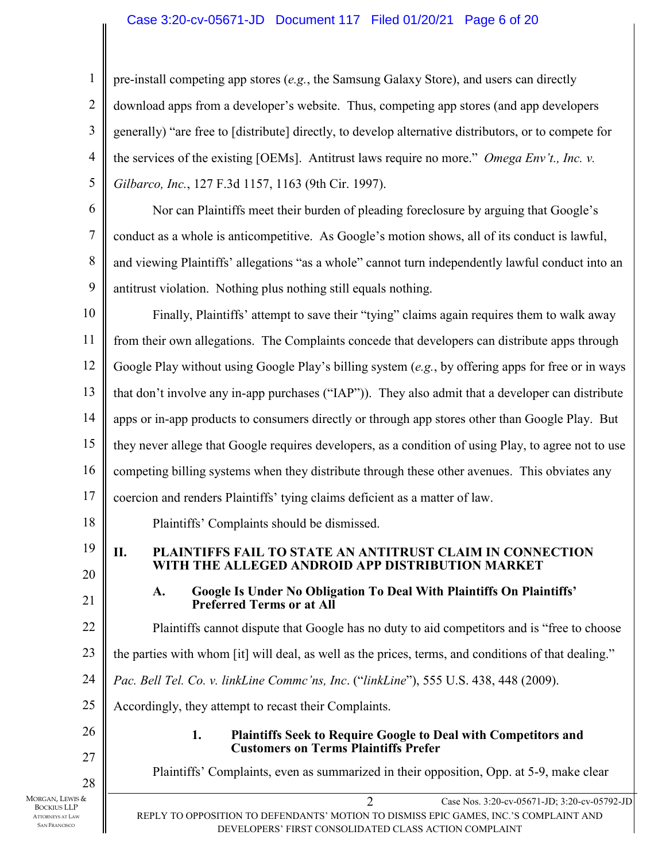## Case 3:20-cv-05671-JD Document 117 Filed 01/20/21 Page 6 of 20

pre-install competing app stores (*e.g.*, the Samsung Galaxy Store), and users can directly download apps from a developer's website. Thus, competing app stores (and app developers generally) "are free to [distribute] directly, to develop alternative distributors, or to compete for the services of the existing [OEMs]. Antitrust laws require no more." *Omega Env't., Inc. v. Gilbarco, Inc.*, 127 F.3d 1157, 1163 (9th Cir. 1997).

6 7 8 9 Nor can Plaintiffs meet their burden of pleading foreclosure by arguing that Google's conduct as a whole is anticompetitive. As Google's motion shows, all of its conduct is lawful, and viewing Plaintiffs' allegations "as a whole" cannot turn independently lawful conduct into an antitrust violation. Nothing plus nothing still equals nothing.

10 11 12 13 14 15 16 17 Finally, Plaintiffs' attempt to save their "tying" claims again requires them to walk away from their own allegations. The Complaints concede that developers can distribute apps through Google Play without using Google Play's billing system (*e.g.*, by offering apps for free or in ways that don't involve any in-app purchases ("IAP")). They also admit that a developer can distribute apps or in-app products to consumers directly or through app stores other than Google Play. But they never allege that Google requires developers, as a condition of using Play, to agree not to use competing billing systems when they distribute through these other avenues. This obviates any coercion and renders Plaintiffs' tying claims deficient as a matter of law.

18 Plaintiffs' Complaints should be dismissed.

19

1

2

3

4

5

20 21

22

**WITH THE ALLEGED ANDROID APP DISTRIBUTION MARKET** 

**A. Google Is Under No Obligation To Deal With Plaintiffs On Plaintiffs' Preferred Terms or at All** 

**II. PLAINTIFFS FAIL TO STATE AN ANTITRUST CLAIM IN CONNECTION** 

Plaintiffs cannot dispute that Google has no duty to aid competitors and is "free to choose

23 the parties with whom [it] will deal, as well as the prices, terms, and conditions of that dealing."

24 *Pac. Bell Tel. Co. v. linkLine Commc'ns, Inc*. ("*linkLine*"), 555 U.S. 438, 448 (2009).

25 Accordingly, they attempt to recast their Complaints.

26 27 28

**Customers on Terms Plaintiffs Prefer**  Plaintiffs' Complaints, even as summarized in their opposition, Opp. at 5-9, make clear

**1. Plaintiffs Seek to Require Google to Deal with Competitors and** 

MORGAN, LEWIS & BOCKIUS LLP ATTORNEYS AT LAW SAN FRANCISCO

2 Case Nos. 3:20-cv-05671-JD; 3:20-cv-05792-JD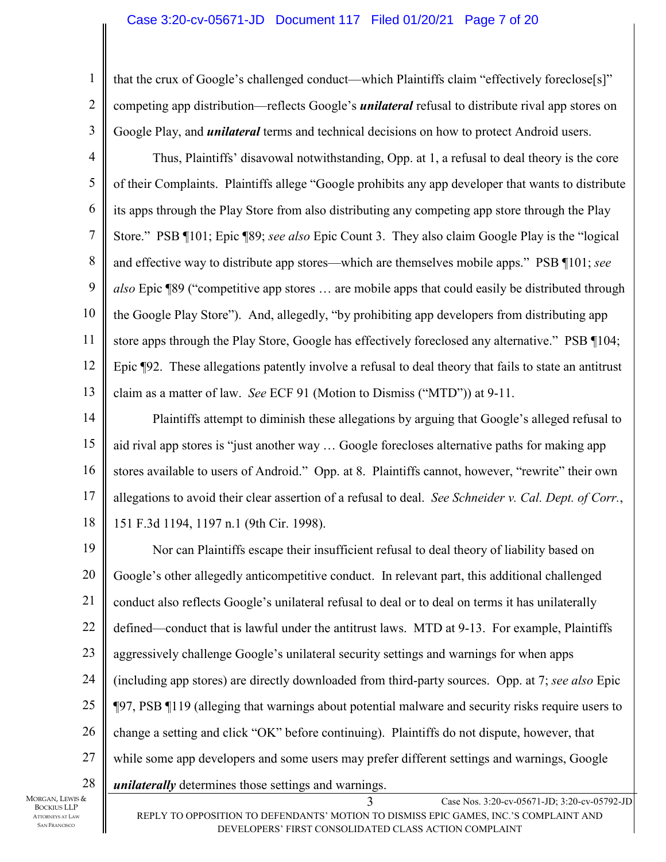## Case 3:20-cv-05671-JD Document 117 Filed 01/20/21 Page 7 of 20

that the crux of Google's challenged conduct—which Plaintiffs claim "effectively foreclose[s]" competing app distribution—reflects Google's *unilateral* refusal to distribute rival app stores on Google Play, and *unilateral* terms and technical decisions on how to protect Android users.

4 5 6 7 8 9 10 11 12 13 Thus, Plaintiffs' disavowal notwithstanding, Opp. at 1, a refusal to deal theory is the core of their Complaints. Plaintiffs allege "Google prohibits any app developer that wants to distribute its apps through the Play Store from also distributing any competing app store through the Play Store." PSB ¶101; Epic ¶89; *see also* Epic Count 3. They also claim Google Play is the "logical and effective way to distribute app stores—which are themselves mobile apps." PSB ¶101; *see also* Epic ¶89 ("competitive app stores … are mobile apps that could easily be distributed through the Google Play Store"). And, allegedly, "by prohibiting app developers from distributing app store apps through the Play Store, Google has effectively foreclosed any alternative." PSB ¶104; Epic ¶92. These allegations patently involve a refusal to deal theory that fails to state an antitrust claim as a matter of law. *See* ECF 91 (Motion to Dismiss ("MTD")) at 9-11.

14 15 16 17 18 Plaintiffs attempt to diminish these allegations by arguing that Google's alleged refusal to aid rival app stores is "just another way … Google forecloses alternative paths for making app stores available to users of Android." Opp. at 8. Plaintiffs cannot, however, "rewrite" their own allegations to avoid their clear assertion of a refusal to deal. *See Schneider v. Cal. Dept. of Corr.*, 151 F.3d 1194, 1197 n.1 (9th Cir. 1998).

3 Case Nos. 3:20-cv-05671-JD; 3:20-cv-05792-JD 19 20 21 22 23 24 25 26 27 28 Nor can Plaintiffs escape their insufficient refusal to deal theory of liability based on Google's other allegedly anticompetitive conduct. In relevant part, this additional challenged conduct also reflects Google's unilateral refusal to deal or to deal on terms it has unilaterally defined—conduct that is lawful under the antitrust laws. MTD at 9-13. For example, Plaintiffs aggressively challenge Google's unilateral security settings and warnings for when apps (including app stores) are directly downloaded from third-party sources. Opp. at 7; *see also* Epic ¶97, PSB ¶119 (alleging that warnings about potential malware and security risks require users to change a setting and click "OK" before continuing). Plaintiffs do not dispute, however, that while some app developers and some users may prefer different settings and warnings, Google *unilaterally* determines those settings and warnings.

MORGAN, LEWIS & BOCKIUS LLP ATTORNEYS AT LAW SAN FRANCISCO

1

2

3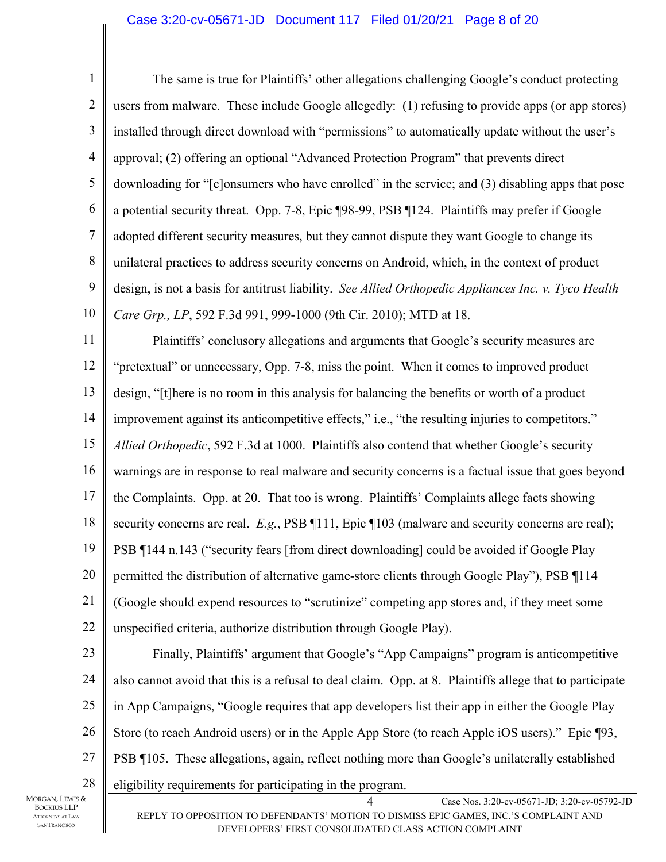## Case 3:20-cv-05671-JD Document 117 Filed 01/20/21 Page 8 of 20

4 Case Nos. 3:20-cv-05671-JD; 3:20-cv-05792-JD REPLY TO OPPOSITION TO DEFENDANTS' MOTION TO DISMISS EPIC GAMES, INC.'S COMPLAINT AND 1 2 3 4 5 6 7 8 9 10 11 12 13 14 15 16 17 18 19 20 21 22 23 24 25 26 27 28 The same is true for Plaintiffs' other allegations challenging Google's conduct protecting users from malware. These include Google allegedly: (1) refusing to provide apps (or app stores) installed through direct download with "permissions" to automatically update without the user's approval; (2) offering an optional "Advanced Protection Program" that prevents direct downloading for "[c]onsumers who have enrolled" in the service; and (3) disabling apps that pose a potential security threat. Opp. 7-8, Epic ¶98-99, PSB ¶124. Plaintiffs may prefer if Google adopted different security measures, but they cannot dispute they want Google to change its unilateral practices to address security concerns on Android, which, in the context of product design, is not a basis for antitrust liability. *See Allied Orthopedic Appliances Inc. v. Tyco Health Care Grp., LP*, 592 F.3d 991, 999-1000 (9th Cir. 2010); MTD at 18. Plaintiffs' conclusory allegations and arguments that Google's security measures are "pretextual" or unnecessary, Opp. 7-8, miss the point. When it comes to improved product design, "[t]here is no room in this analysis for balancing the benefits or worth of a product improvement against its anticompetitive effects," i.e., "the resulting injuries to competitors." *Allied Orthopedic*, 592 F.3d at 1000. Plaintiffs also contend that whether Google's security warnings are in response to real malware and security concerns is a factual issue that goes beyond the Complaints. Opp. at 20. That too is wrong. Plaintiffs' Complaints allege facts showing security concerns are real. *E.g.*, PSB  $\P$ 111, Epic  $\P$ 103 (malware and security concerns are real); PSB ¶144 n.143 ("security fears [from direct downloading] could be avoided if Google Play permitted the distribution of alternative game-store clients through Google Play"), PSB ¶114 (Google should expend resources to "scrutinize" competing app stores and, if they meet some unspecified criteria, authorize distribution through Google Play). Finally, Plaintiffs' argument that Google's "App Campaigns" program is anticompetitive also cannot avoid that this is a refusal to deal claim. Opp. at 8. Plaintiffs allege that to participate in App Campaigns, "Google requires that app developers list their app in either the Google Play Store (to reach Android users) or in the Apple App Store (to reach Apple iOS users)." Epic ¶93, PSB ¶105. These allegations, again, reflect nothing more than Google's unilaterally established eligibility requirements for participating in the program.

DEVELOPERS' FIRST CONSOLIDATED CLASS ACTION COMPLAINT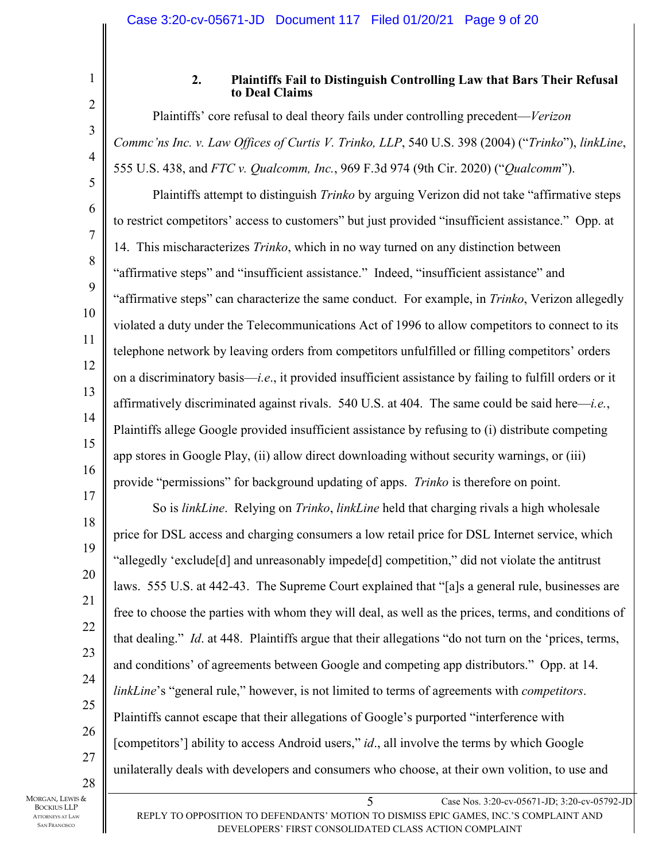4

5

6

7

8

9

10

11

12

13

14

15

16

17

1

## **2. Plaintiffs Fail to Distinguish Controlling Law that Bars Their Refusal to Deal Claims**

Plaintiffs' core refusal to deal theory fails under controlling precedent—*Verizon Commc'ns Inc. v. Law Offices of Curtis V. Trinko, LLP*, 540 U.S. 398 (2004) ("*Trinko*"), *linkLine*, 555 U.S. 438, and *FTC v. Qualcomm, Inc.*, 969 F.3d 974 (9th Cir. 2020) ("*Qualcomm*").

Plaintiffs attempt to distinguish *Trinko* by arguing Verizon did not take "affirmative steps to restrict competitors' access to customers" but just provided "insufficient assistance." Opp. at 14. This mischaracterizes *Trinko*, which in no way turned on any distinction between "affirmative steps" and "insufficient assistance." Indeed, "insufficient assistance" and "affirmative steps" can characterize the same conduct. For example, in *Trinko*, Verizon allegedly violated a duty under the Telecommunications Act of 1996 to allow competitors to connect to its telephone network by leaving orders from competitors unfulfilled or filling competitors' orders on a discriminatory basis—*i.e*., it provided insufficient assistance by failing to fulfill orders or it affirmatively discriminated against rivals. 540 U.S. at 404. The same could be said here—*i.e.*, Plaintiffs allege Google provided insufficient assistance by refusing to (i) distribute competing app stores in Google Play, (ii) allow direct downloading without security warnings, or (iii) provide "permissions" for background updating of apps. *Trinko* is therefore on point.

18 19 20 21 22 23 24 25 26 27 So is *linkLine*. Relying on *Trinko*, *linkLine* held that charging rivals a high wholesale price for DSL access and charging consumers a low retail price for DSL Internet service, which "allegedly 'exclude[d] and unreasonably impede[d] competition," did not violate the antitrust laws. 555 U.S. at 442-43. The Supreme Court explained that "[a]s a general rule, businesses are free to choose the parties with whom they will deal, as well as the prices, terms, and conditions of that dealing." *Id*. at 448. Plaintiffs argue that their allegations "do not turn on the 'prices, terms, and conditions' of agreements between Google and competing app distributors." Opp. at 14. *linkLine*'s "general rule," however, is not limited to terms of agreements with *competitors*. Plaintiffs cannot escape that their allegations of Google's purported "interference with [competitors'] ability to access Android users," *id*., all involve the terms by which Google unilaterally deals with developers and consumers who choose, at their own volition, to use and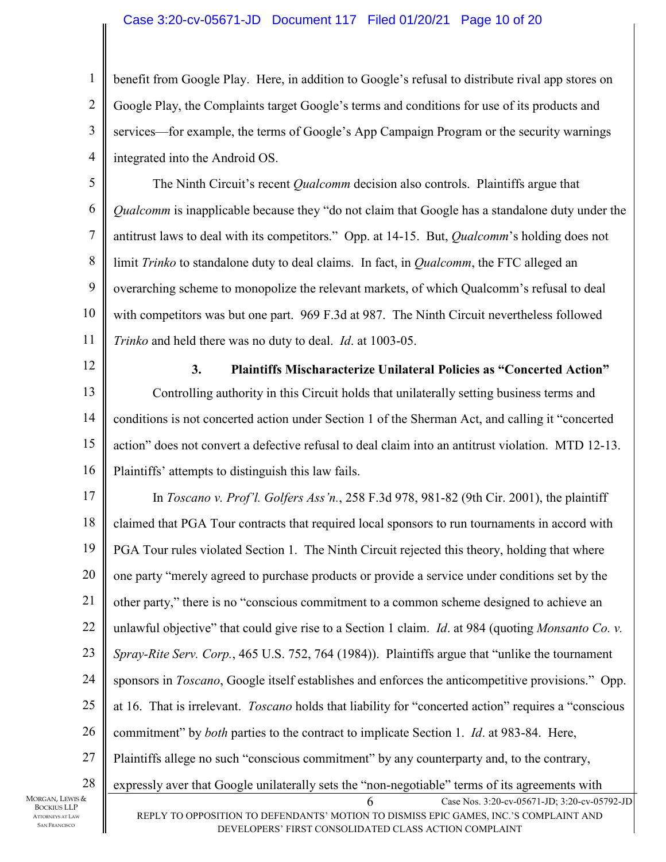## Case 3:20-cv-05671-JD Document 117 Filed 01/20/21 Page 10 of 20

benefit from Google Play. Here, in addition to Google's refusal to distribute rival app stores on Google Play, the Complaints target Google's terms and conditions for use of its products and services—for example, the terms of Google's App Campaign Program or the security warnings integrated into the Android OS.

5 6 7 8 9 10 11 The Ninth Circuit's recent *Qualcomm* decision also controls. Plaintiffs argue that *Qualcomm* is inapplicable because they "do not claim that Google has a standalone duty under the antitrust laws to deal with its competitors." Opp. at 14-15. But, *Qualcomm*'s holding does not limit *Trinko* to standalone duty to deal claims. In fact, in *Qualcomm*, the FTC alleged an overarching scheme to monopolize the relevant markets, of which Qualcomm's refusal to deal with competitors was but one part. 969 F.3d at 987. The Ninth Circuit nevertheless followed *Trinko* and held there was no duty to deal. *Id*. at 1003-05.

12

13

14

15

16

1

2

3

4

**3. Plaintiffs Mischaracterize Unilateral Policies as "Concerted Action"**  Controlling authority in this Circuit holds that unilaterally setting business terms and conditions is not concerted action under Section 1 of the Sherman Act, and calling it "concerted action" does not convert a defective refusal to deal claim into an antitrust violation. MTD 12-13. Plaintiffs' attempts to distinguish this law fails.

6 Case Nos. 3:20-cv-05671-JD; 3:20-cv-05792-JD 17 18 19 20 21 22 23 24 25 26 27 28 MORGAN, LEWIS & In *Toscano v. Prof'l. Golfers Ass'n.*, 258 F.3d 978, 981-82 (9th Cir. 2001), the plaintiff claimed that PGA Tour contracts that required local sponsors to run tournaments in accord with PGA Tour rules violated Section 1. The Ninth Circuit rejected this theory, holding that where one party "merely agreed to purchase products or provide a service under conditions set by the other party," there is no "conscious commitment to a common scheme designed to achieve an unlawful objective" that could give rise to a Section 1 claim. *Id*. at 984 (quoting *Monsanto Co. v. Spray-Rite Serv. Corp.*, 465 U.S. 752, 764 (1984)). Plaintiffs argue that "unlike the tournament sponsors in *Toscano*, Google itself establishes and enforces the anticompetitive provisions." Opp. at 16. That is irrelevant. *Toscano* holds that liability for "concerted action" requires a "conscious commitment" by *both* parties to the contract to implicate Section 1. *Id*. at 983-84. Here, Plaintiffs allege no such "conscious commitment" by any counterparty and, to the contrary, expressly aver that Google unilaterally sets the "non-negotiable" terms of its agreements with

BOCKIUS LLP ATTORNEYS AT LAW SAN FRANCISCO

DEVELOPERS' FIRST CONSOLIDATED CLASS ACTION COMPLAINT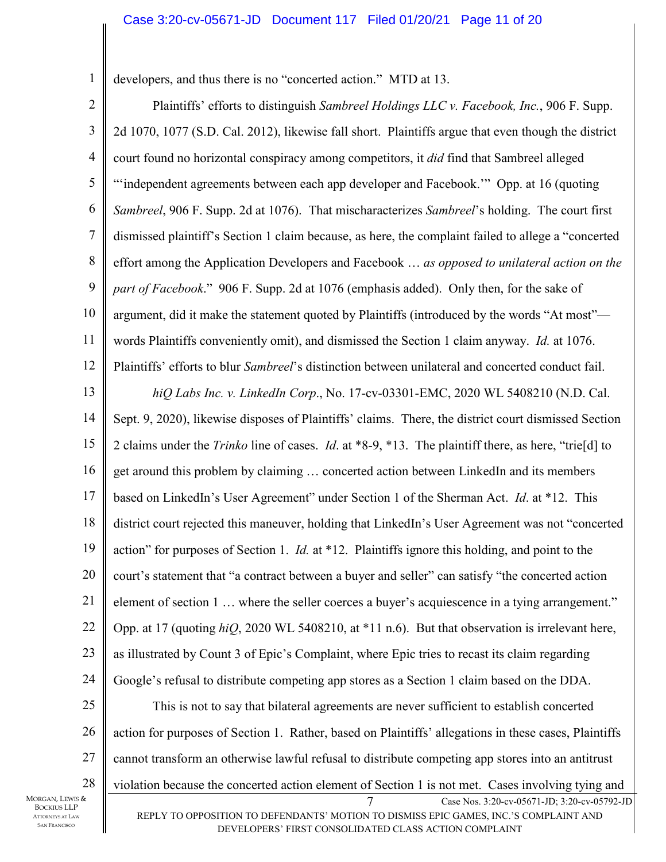developers, and thus there is no "concerted action." MTD at 13.

1

BOCKIUS LLP ATTORNEYS AT LAW SAN FRANCISCO

Case Nos. 3:20-cv-05671-JD; 3:20-cv-05792-JD REPLY TO OPPOSITION TO DEFENDANTS' MOTION TO DISMISS EPIC GAMES, INC.'S COMPLAINT AND DEVELOPERS' FIRST CONSOLIDATED CLASS ACTION COMPLAINT 2 3 4 5 6 7 8 9 10 11 12 13 14 15 16 17 18 19 20 21 22 23 24 25 26 27 28 MORGAN, LEWIS & Plaintiffs' efforts to distinguish *Sambreel Holdings LLC v. Facebook, Inc.*, 906 F. Supp. 2d 1070, 1077 (S.D. Cal. 2012), likewise fall short. Plaintiffs argue that even though the district court found no horizontal conspiracy among competitors, it *did* find that Sambreel alleged "independent agreements between each app developer and Facebook." Opp. at 16 (quoting *Sambreel*, 906 F. Supp. 2d at 1076). That mischaracterizes *Sambreel*'s holding. The court first dismissed plaintiff's Section 1 claim because, as here, the complaint failed to allege a "concerted effort among the Application Developers and Facebook … *as opposed to unilateral action on the part of Facebook*." 906 F. Supp. 2d at 1076 (emphasis added). Only then, for the sake of argument, did it make the statement quoted by Plaintiffs (introduced by the words "At most" words Plaintiffs conveniently omit), and dismissed the Section 1 claim anyway. *Id.* at 1076. Plaintiffs' efforts to blur *Sambreel*'s distinction between unilateral and concerted conduct fail. *hiQ Labs Inc. v. LinkedIn Corp*., No. 17-cv-03301-EMC, 2020 WL 5408210 (N.D. Cal. Sept. 9, 2020), likewise disposes of Plaintiffs' claims. There, the district court dismissed Section 2 claims under the *Trinko* line of cases. *Id*. at \*8-9, \*13. The plaintiff there, as here, "trie[d] to get around this problem by claiming … concerted action between LinkedIn and its members based on LinkedIn's User Agreement" under Section 1 of the Sherman Act. *Id*. at \*12. This district court rejected this maneuver, holding that LinkedIn's User Agreement was not "concerted action" for purposes of Section 1. *Id.* at \*12. Plaintiffs ignore this holding, and point to the court's statement that "a contract between a buyer and seller" can satisfy "the concerted action element of section 1 … where the seller coerces a buyer's acquiescence in a tying arrangement." Opp. at 17 (quoting *hiQ*, 2020 WL 5408210, at \*11 n.6). But that observation is irrelevant here, as illustrated by Count 3 of Epic's Complaint, where Epic tries to recast its claim regarding Google's refusal to distribute competing app stores as a Section 1 claim based on the DDA. This is not to say that bilateral agreements are never sufficient to establish concerted action for purposes of Section 1. Rather, based on Plaintiffs' allegations in these cases, Plaintiffs cannot transform an otherwise lawful refusal to distribute competing app stores into an antitrust violation because the concerted action element of Section 1 is not met. Cases involving tying and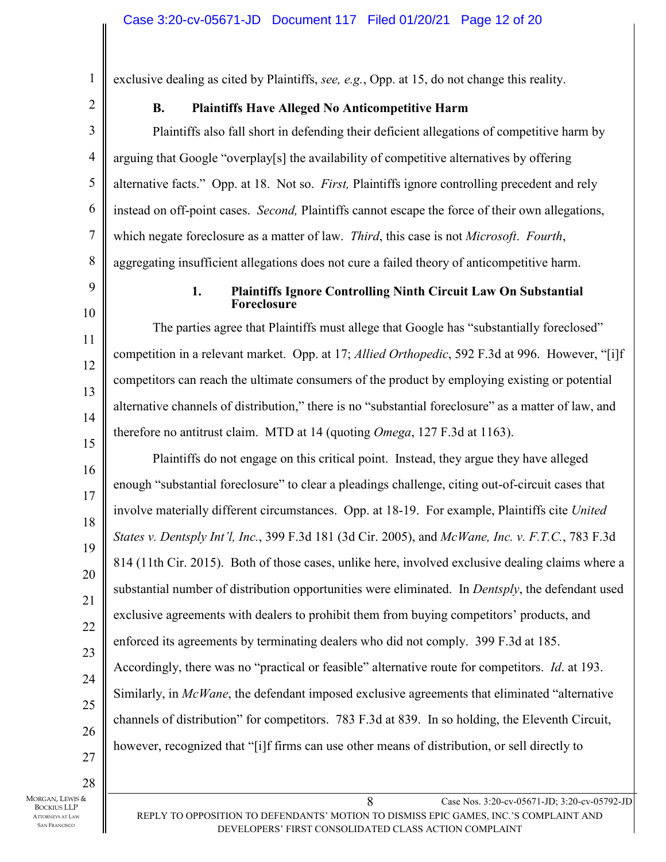exclusive dealing as cited by Plaintiffs, *see, e.g.*, Opp. at 15, do not change this reality.

| I<br>I |
|--------|

1

## **B. Plaintiffs Have Alleged No Anticompetitive Harm**

3 4 5 6 7 8 Plaintiffs also fall short in defending their deficient allegations of competitive harm by arguing that Google "overplay[s] the availability of competitive alternatives by offering alternative facts." Opp. at 18. Not so. *First,* Plaintiffs ignore controlling precedent and rely instead on off-point cases. *Second,* Plaintiffs cannot escape the force of their own allegations, which negate foreclosure as a matter of law. *Third*, this case is not *Microsoft*. *Fourth*, aggregating insufficient allegations does not cure a failed theory of anticompetitive harm.

9 10

11

12

13

14

15

#### **1. Plaintiffs Ignore Controlling Ninth Circuit Law On Substantial Foreclosure**

The parties agree that Plaintiffs must allege that Google has "substantially foreclosed" competition in a relevant market. Opp. at 17; *Allied Orthopedic*, 592 F.3d at 996. However, "[i]f competitors can reach the ultimate consumers of the product by employing existing or potential alternative channels of distribution," there is no "substantial foreclosure" as a matter of law, and therefore no antitrust claim. MTD at 14 (quoting *Omega*, 127 F.3d at 1163).

16 17 18 19 20 21 22 23 24 25 26 Plaintiffs do not engage on this critical point. Instead, they argue they have alleged enough "substantial foreclosure" to clear a pleadings challenge, citing out-of-circuit cases that involve materially different circumstances. Opp. at 18-19. For example, Plaintiffs cite *United States v. Dentsply Int'l, Inc.*, 399 F.3d 181 (3d Cir. 2005), and *McWane, Inc. v. F.T.C.*, 783 F.3d 814 (11th Cir. 2015). Both of those cases, unlike here, involved exclusive dealing claims where a substantial number of distribution opportunities were eliminated. In *Dentsply*, the defendant used exclusive agreements with dealers to prohibit them from buying competitors' products, and enforced its agreements by terminating dealers who did not comply. 399 F.3d at 185. Accordingly, there was no "practical or feasible" alternative route for competitors. *Id*. at 193. Similarly, in *McWane*, the defendant imposed exclusive agreements that eliminated "alternative channels of distribution" for competitors. 783 F.3d at 839. In so holding, the Eleventh Circuit, however, recognized that "[i]f firms can use other means of distribution, or sell directly to

28 MORGAN, LEWIS & BOCKIUS LLP ATTORNEYS AT LAW SAN FRANCISCO

27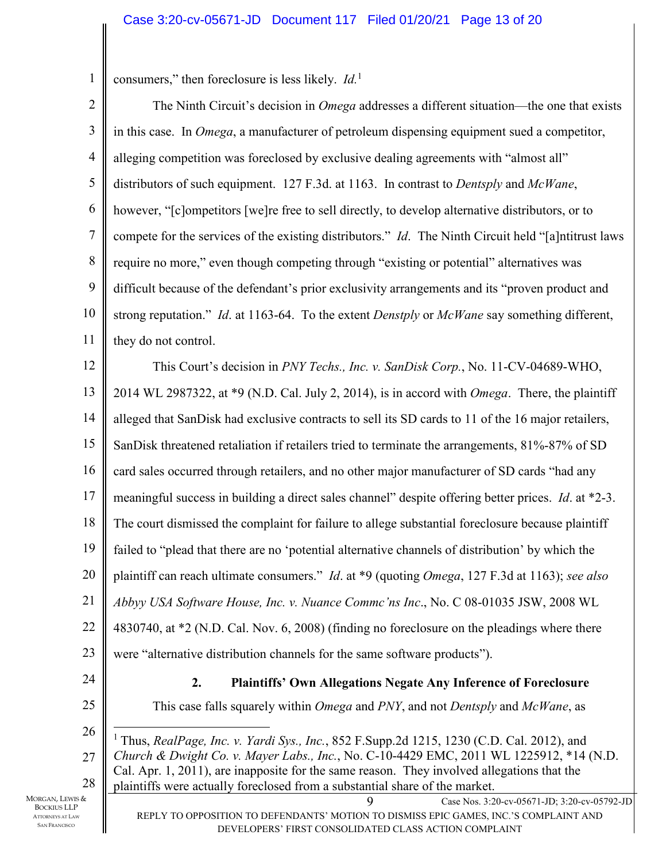consumers," then foreclosure is less likely. *Id.*<sup>1</sup>

1

9 Case Nos. 3:20-cv-05671-JD; 3:20-cv-05792-JD 2 3 4 5 6 7 8 9 10 11 12 13 14 15 16 17 18 19 20 21 22 23 24 25 26 27 28 MORGAN, LEWIS & The Ninth Circuit's decision in *Omega* addresses a different situation—the one that exists in this case. In *Omega*, a manufacturer of petroleum dispensing equipment sued a competitor, alleging competition was foreclosed by exclusive dealing agreements with "almost all" distributors of such equipment. 127 F.3d. at 1163. In contrast to *Dentsply* and *McWane*, however, "[c]ompetitors [we]re free to sell directly, to develop alternative distributors, or to compete for the services of the existing distributors." *Id*. The Ninth Circuit held "[a]ntitrust laws require no more," even though competing through "existing or potential" alternatives was difficult because of the defendant's prior exclusivity arrangements and its "proven product and strong reputation." *Id*. at 1163-64. To the extent *Denstply* or *McWane* say something different, they do not control. This Court's decision in *PNY Techs., Inc. v. SanDisk Corp.*, No. 11-CV-04689-WHO, 2014 WL 2987322, at \*9 (N.D. Cal. July 2, 2014), is in accord with *Omega*. There, the plaintiff alleged that SanDisk had exclusive contracts to sell its SD cards to 11 of the 16 major retailers, SanDisk threatened retaliation if retailers tried to terminate the arrangements, 81%-87% of SD card sales occurred through retailers, and no other major manufacturer of SD cards "had any meaningful success in building a direct sales channel" despite offering better prices. *Id*. at \*2-3. The court dismissed the complaint for failure to allege substantial foreclosure because plaintiff failed to "plead that there are no 'potential alternative channels of distribution' by which the plaintiff can reach ultimate consumers." *Id*. at \*9 (quoting *Omega*, 127 F.3d at 1163); *see also Abbyy USA Software House, Inc. v. Nuance Commc'ns Inc*., No. C 08-01035 JSW, 2008 WL 4830740, at \*2 (N.D. Cal. Nov. 6, 2008) (finding no foreclosure on the pleadings where there were "alternative distribution channels for the same software products"). **2. Plaintiffs' Own Allegations Negate Any Inference of Foreclosure**  This case falls squarely within *Omega* and *PNY*, and not *Dentsply* and *McWane*, as <sup>1</sup> Thus, *RealPage, Inc. v. Yardi Sys., Inc.*, 852 F.Supp.2d 1215, 1230 (C.D. Cal. 2012), and *Church & Dwight Co. v. Mayer Labs., Inc.*, No. C-10-4429 EMC, 2011 WL 1225912, \*14 (N.D. Cal. Apr. 1, 2011), are inapposite for the same reason. They involved allegations that the plaintiffs were actually foreclosed from a substantial share of the market.

BOCKIUS LLP ATTORNEYS AT LAW SAN FRANCISCO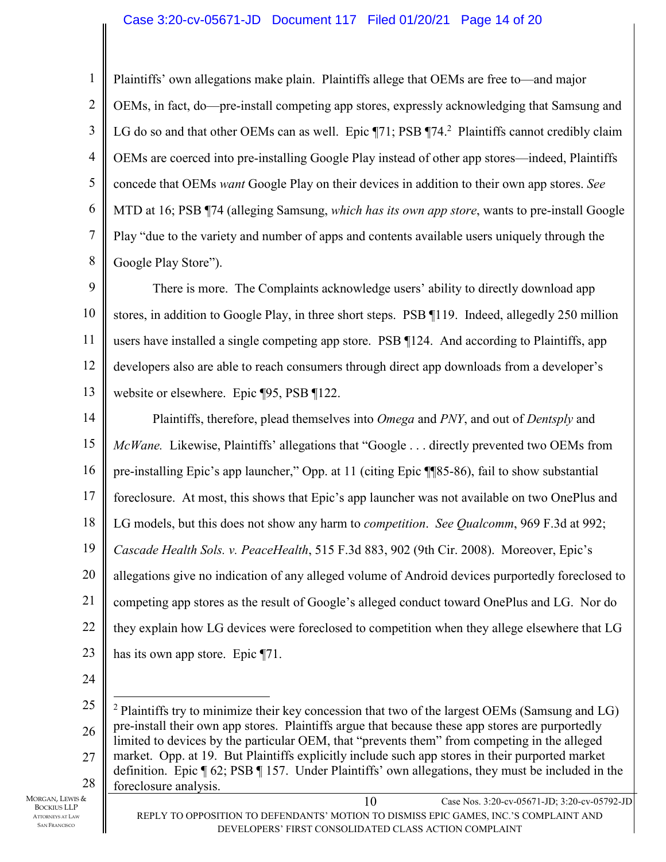1 2 3 4 5 6 7 8 Plaintiffs' own allegations make plain. Plaintiffs allege that OEMs are free to—and major OEMs, in fact, do—pre-install competing app stores, expressly acknowledging that Samsung and LG do so and that other OEMs can as well. Epic  $\P$ 71; PSB  $\P$ 74.<sup>2</sup> Plaintiffs cannot credibly claim OEMs are coerced into pre-installing Google Play instead of other app stores—indeed, Plaintiffs concede that OEMs *want* Google Play on their devices in addition to their own app stores. *See*  MTD at 16; PSB ¶74 (alleging Samsung, *which has its own app store*, wants to pre-install Google Play "due to the variety and number of apps and contents available users uniquely through the Google Play Store").

9 10 11 12 13 There is more. The Complaints acknowledge users' ability to directly download app stores, in addition to Google Play, in three short steps. PSB ¶119. Indeed, allegedly 250 million users have installed a single competing app store. PSB ¶124. And according to Plaintiffs, app developers also are able to reach consumers through direct app downloads from a developer's website or elsewhere. Epic ¶95, PSB ¶122.

14 15 16 17 18 19 20 21 22 23 Plaintiffs, therefore, plead themselves into *Omega* and *PNY*, and out of *Dentsply* and *McWane.* Likewise, Plaintiffs' allegations that "Google . . . directly prevented two OEMs from pre-installing Epic's app launcher," Opp. at 11 (citing Epic ¶¶85-86), fail to show substantial foreclosure. At most, this shows that Epic's app launcher was not available on two OnePlus and LG models, but this does not show any harm to *competition*. *See Qualcomm*, 969 F.3d at 992; *Cascade Health Sols. v. PeaceHealth*, 515 F.3d 883, 902 (9th Cir. 2008). Moreover, Epic's allegations give no indication of any alleged volume of Android devices purportedly foreclosed to competing app stores as the result of Google's alleged conduct toward OnePlus and LG. Nor do they explain how LG devices were foreclosed to competition when they allege elsewhere that LG has its own app store. Epic ¶71.

24

BOCKIUS LLP ATTORNEYS AT LAW SAN FRANCISCO

<sup>10</sup> Case Nos. 3:20-cv-05671-JD; 3:20-cv-05792-JD 25 26 27 28 MORGAN, LEWIS & <sup>2</sup> Plaintiffs try to minimize their key concession that two of the largest OEMs (Samsung and LG) pre-install their own app stores. Plaintiffs argue that because these app stores are purportedly limited to devices by the particular OEM, that "prevents them" from competing in the alleged market. Opp. at 19. But Plaintiffs explicitly include such app stores in their purported market definition. Epic ¶ 62; PSB ¶ 157. Under Plaintiffs' own allegations, they must be included in the foreclosure analysis.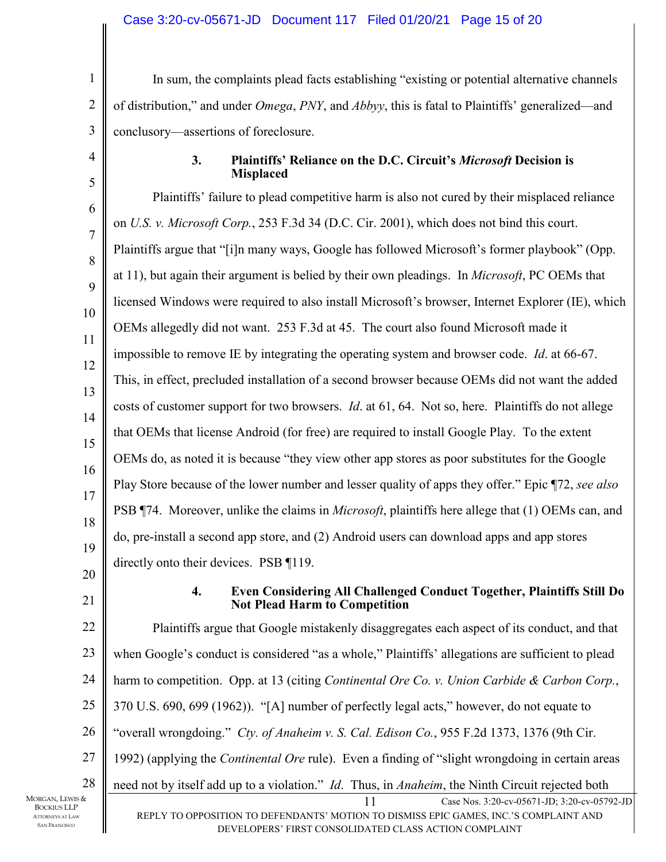3 In sum, the complaints plead facts establishing "existing or potential alternative channels of distribution," and under *Omega*, *PNY*, and *Abbyy*, this is fatal to Plaintiffs' generalized—and conclusory—assertions of foreclosure.

## **3. Plaintiffs' Reliance on the D.C. Circuit's** *Microsoft* **Decision is Misplaced**

5 6 7 8 9 10 11 12 13 14 15 16 17 18 19 20 Plaintiffs' failure to plead competitive harm is also not cured by their misplaced reliance on *U.S. v. Microsoft Corp.*, 253 F.3d 34 (D.C. Cir. 2001), which does not bind this court. Plaintiffs argue that "[i]n many ways, Google has followed Microsoft's former playbook" (Opp. at 11), but again their argument is belied by their own pleadings. In *Microsoft*, PC OEMs that licensed Windows were required to also install Microsoft's browser, Internet Explorer (IE), which OEMs allegedly did not want. 253 F.3d at 45. The court also found Microsoft made it impossible to remove IE by integrating the operating system and browser code. *Id*. at 66-67. This, in effect, precluded installation of a second browser because OEMs did not want the added costs of customer support for two browsers. *Id*. at 61, 64. Not so, here. Plaintiffs do not allege that OEMs that license Android (for free) are required to install Google Play. To the extent OEMs do, as noted it is because "they view other app stores as poor substitutes for the Google Play Store because of the lower number and lesser quality of apps they offer." Epic ¶72, *see also*  PSB ¶74. Moreover, unlike the claims in *Microsoft*, plaintiffs here allege that (1) OEMs can, and do, pre-install a second app store, and (2) Android users can download apps and app stores directly onto their devices. PSB ¶119.

21

1

2

4

## **4. Even Considering All Challenged Conduct Together, Plaintiffs Still Do Not Plead Harm to Competition**

11 Case Nos. 3:20-cv-05671-JD; 3:20-cv-05792-JD 22 23 24 25 26 27 28 Plaintiffs argue that Google mistakenly disaggregates each aspect of its conduct, and that when Google's conduct is considered "as a whole," Plaintiffs' allegations are sufficient to plead harm to competition. Opp. at 13 (citing *Continental Ore Co. v. Union Carbide & Carbon Corp.*, 370 U.S. 690, 699 (1962)). "[A] number of perfectly legal acts," however, do not equate to "overall wrongdoing." *Cty. of Anaheim v. S. Cal. Edison Co.*, 955 F.2d 1373, 1376 (9th Cir. 1992) (applying the *Continental Ore* rule). Even a finding of "slight wrongdoing in certain areas need not by itself add up to a violation." *Id*. Thus, in *Anaheim*, the Ninth Circuit rejected both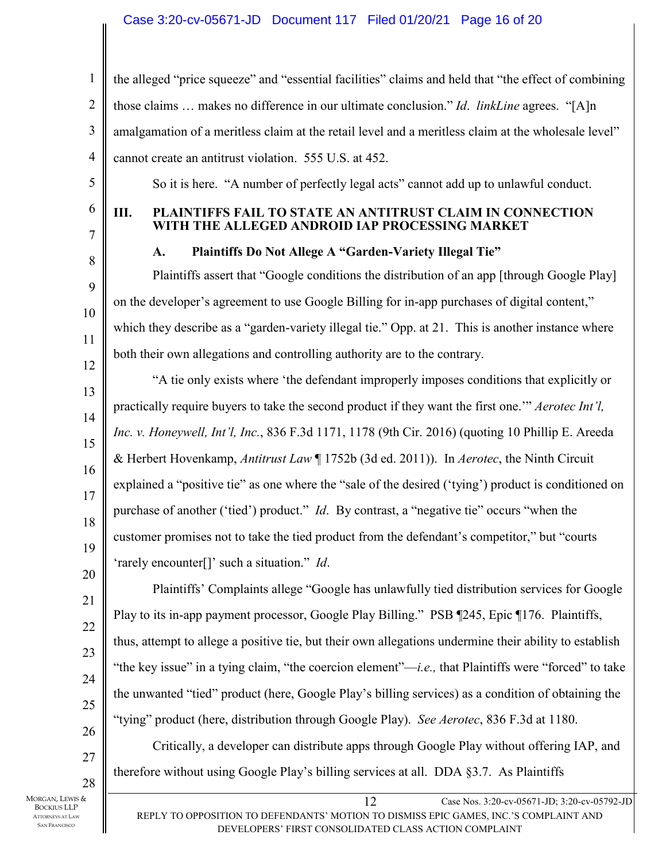## Case 3:20-cv-05671-JD Document 117 Filed 01/20/21 Page 16 of 20

12 Case Nos. 3:20-cv-05671-JD; 3:20-cv-05792-JD 1 2 3 4 5 6 7 8 9 10 11 12 13 14 15 16 17 18 19 20 21 22 23 24 25 26 27 28 the alleged "price squeeze" and "essential facilities" claims and held that "the effect of combining those claims … makes no difference in our ultimate conclusion." *Id*. *linkLine* agrees. "[A]n amalgamation of a meritless claim at the retail level and a meritless claim at the wholesale level" cannot create an antitrust violation. 555 U.S. at 452. So it is here. "A number of perfectly legal acts" cannot add up to unlawful conduct. **III. PLAINTIFFS FAIL TO STATE AN ANTITRUST CLAIM IN CONNECTION WITH THE ALLEGED ANDROID IAP PROCESSING MARKET A. Plaintiffs Do Not Allege A "Garden-Variety Illegal Tie"**  Plaintiffs assert that "Google conditions the distribution of an app [through Google Play] on the developer's agreement to use Google Billing for in-app purchases of digital content," which they describe as a "garden-variety illegal tie." Opp. at 21. This is another instance where both their own allegations and controlling authority are to the contrary. "A tie only exists where 'the defendant improperly imposes conditions that explicitly or practically require buyers to take the second product if they want the first one.'" *Aerotec Int'l, Inc. v. Honeywell, Int'l, Inc.*, 836 F.3d 1171, 1178 (9th Cir. 2016) (quoting 10 Phillip E. Areeda & Herbert Hovenkamp, *Antitrust Law* ¶ 1752b (3d ed. 2011)). In *Aerotec*, the Ninth Circuit explained a "positive tie" as one where the "sale of the desired ('tying') product is conditioned on purchase of another ('tied') product." *Id*. By contrast, a "negative tie" occurs "when the customer promises not to take the tied product from the defendant's competitor," but "courts 'rarely encounter[]' such a situation." *Id*. Plaintiffs' Complaints allege "Google has unlawfully tied distribution services for Google Play to its in-app payment processor, Google Play Billing." PSB ¶245, Epic ¶176. Plaintiffs, thus, attempt to allege a positive tie, but their own allegations undermine their ability to establish "the key issue" in a tying claim, "the coercion element"—*i.e.,* that Plaintiffs were "forced" to take the unwanted "tied" product (here, Google Play's billing services) as a condition of obtaining the "tying" product (here, distribution through Google Play). *See Aerotec*, 836 F.3d at 1180. Critically, a developer can distribute apps through Google Play without offering IAP, and therefore without using Google Play's billing services at all. DDA §3.7. As Plaintiffs

MORGAN, LEWIS & BOCKIUS LLP ATTORNEYS AT LAW SAN FRANCISCO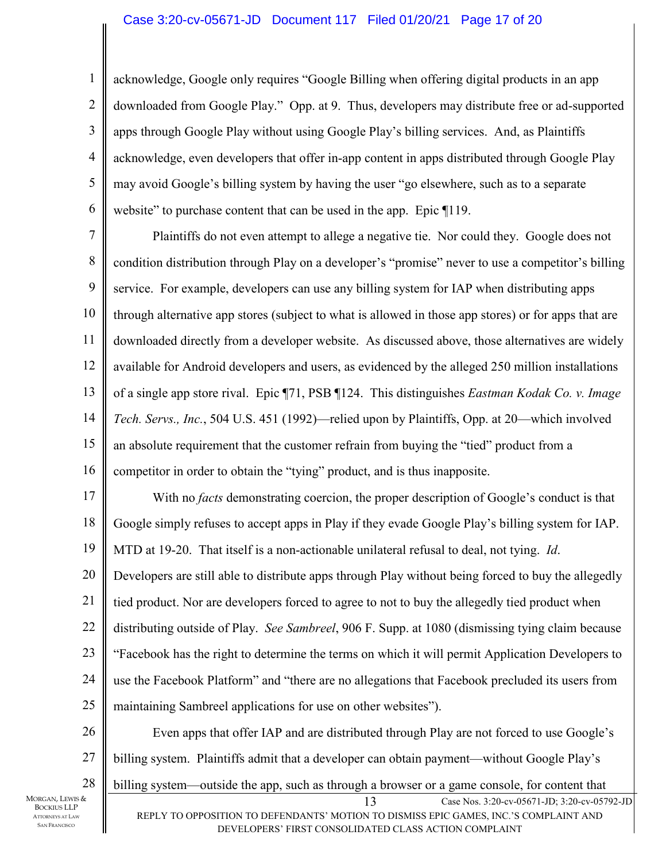acknowledge, Google only requires "Google Billing when offering digital products in an app downloaded from Google Play." Opp. at 9. Thus, developers may distribute free or ad-supported apps through Google Play without using Google Play's billing services. And, as Plaintiffs acknowledge, even developers that offer in-app content in apps distributed through Google Play may avoid Google's billing system by having the user "go elsewhere, such as to a separate website" to purchase content that can be used in the app. Epic  $\P$ 119.

7 8 9 10 11 12 13 14 15 16 Plaintiffs do not even attempt to allege a negative tie. Nor could they. Google does not condition distribution through Play on a developer's "promise" never to use a competitor's billing service. For example, developers can use any billing system for IAP when distributing apps through alternative app stores (subject to what is allowed in those app stores) or for apps that are downloaded directly from a developer website. As discussed above, those alternatives are widely available for Android developers and users, as evidenced by the alleged 250 million installations of a single app store rival. Epic ¶71, PSB ¶124. This distinguishes *Eastman Kodak Co. v. Image Tech. Servs., Inc.*, 504 U.S. 451 (1992)—relied upon by Plaintiffs, Opp. at 20—which involved an absolute requirement that the customer refrain from buying the "tied" product from a competitor in order to obtain the "tying" product, and is thus inapposite.

17 18 19 20 21 22 23 24 25 With no *facts* demonstrating coercion, the proper description of Google's conduct is that Google simply refuses to accept apps in Play if they evade Google Play's billing system for IAP. MTD at 19-20. That itself is a non-actionable unilateral refusal to deal, not tying. *Id*. Developers are still able to distribute apps through Play without being forced to buy the allegedly tied product. Nor are developers forced to agree to not to buy the allegedly tied product when distributing outside of Play. *See Sambreel*, 906 F. Supp. at 1080 (dismissing tying claim because "Facebook has the right to determine the terms on which it will permit Application Developers to use the Facebook Platform" and "there are no allegations that Facebook precluded its users from maintaining Sambreel applications for use on other websites").

13 Case Nos. 3:20-cv-05671-JD; 3:20-cv-05792-JD REPLY TO OPPOSITION TO DEFENDANTS' MOTION TO DISMISS EPIC GAMES, INC.'S COMPLAINT AND 26 27 28 MORGAN, LEWIS & Even apps that offer IAP and are distributed through Play are not forced to use Google's billing system. Plaintiffs admit that a developer can obtain payment—without Google Play's billing system—outside the app, such as through a browser or a game console, for content that

DEVELOPERS' FIRST CONSOLIDATED CLASS ACTION COMPLAINT

BOCKIUS LLP ATTORNEYS AT LAW SAN FRANCISCO

1

2

3

4

5

6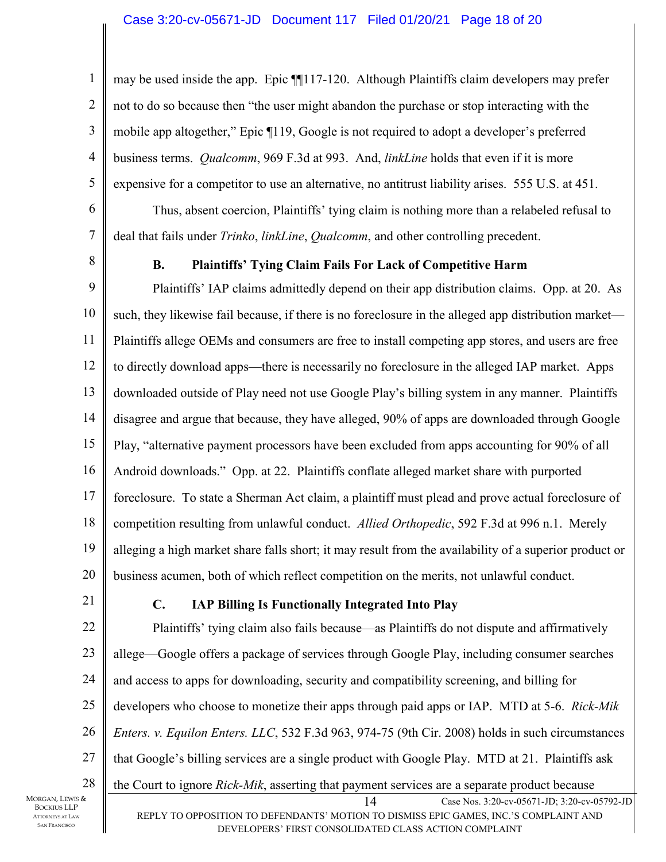may be used inside the app. Epic ¶¶117-120. Although Plaintiffs claim developers may prefer not to do so because then "the user might abandon the purchase or stop interacting with the mobile app altogether," Epic ¶119, Google is not required to adopt a developer's preferred business terms. *Qualcomm*, 969 F.3d at 993. And, *linkLine* holds that even if it is more expensive for a competitor to use an alternative, no antitrust liability arises. 555 U.S. at 451.

Thus, absent coercion, Plaintiffs' tying claim is nothing more than a relabeled refusal to deal that fails under *Trinko*, *linkLine*, *Qualcomm*, and other controlling precedent.

8

1

2

3

4

5

6

7

## **B. Plaintiffs' Tying Claim Fails For Lack of Competitive Harm**

9 10 11 12 13 14 15 16 17 18 19 20 Plaintiffs' IAP claims admittedly depend on their app distribution claims. Opp. at 20. As such, they likewise fail because, if there is no foreclosure in the alleged app distribution market— Plaintiffs allege OEMs and consumers are free to install competing app stores, and users are free to directly download apps—there is necessarily no foreclosure in the alleged IAP market. Apps downloaded outside of Play need not use Google Play's billing system in any manner. Plaintiffs disagree and argue that because, they have alleged, 90% of apps are downloaded through Google Play, "alternative payment processors have been excluded from apps accounting for 90% of all Android downloads." Opp. at 22. Plaintiffs conflate alleged market share with purported foreclosure. To state a Sherman Act claim, a plaintiff must plead and prove actual foreclosure of competition resulting from unlawful conduct. *Allied Orthopedic*, 592 F.3d at 996 n.1. Merely alleging a high market share falls short; it may result from the availability of a superior product or business acumen, both of which reflect competition on the merits, not unlawful conduct.

21

## **C. IAP Billing Is Functionally Integrated Into Play**

14 Case Nos. 3:20-cv-05671-JD; 3:20-cv-05792-JD REPLY TO OPPOSITION TO DEFENDANTS' MOTION TO DISMISS EPIC GAMES, INC.'S COMPLAINT AND 22 23 24 25 26 27 28 Plaintiffs' tying claim also fails because—as Plaintiffs do not dispute and affirmatively allege—Google offers a package of services through Google Play, including consumer searches and access to apps for downloading, security and compatibility screening, and billing for developers who choose to monetize their apps through paid apps or IAP. MTD at 5-6. *Rick-Mik Enters. v. Equilon Enters. LLC*, 532 F.3d 963, 974-75 (9th Cir. 2008) holds in such circumstances that Google's billing services are a single product with Google Play. MTD at 21. Plaintiffs ask the Court to ignore *Rick-Mik*, asserting that payment services are a separate product because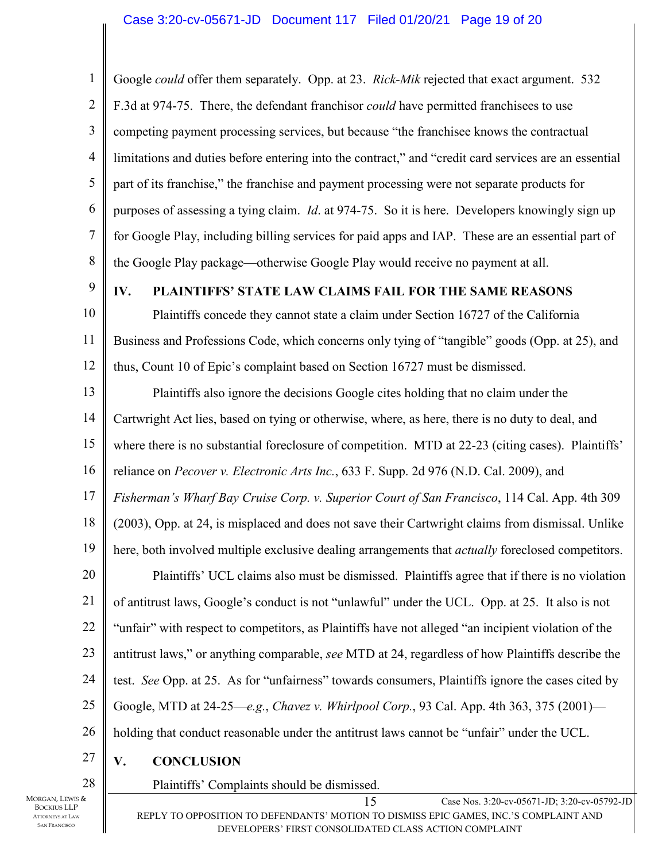1 2 3 4 5 6 7 8 Google *could* offer them separately. Opp. at 23. *Rick-Mik* rejected that exact argument. 532 F.3d at 974-75. There, the defendant franchisor *could* have permitted franchisees to use competing payment processing services, but because "the franchisee knows the contractual limitations and duties before entering into the contract," and "credit card services are an essential part of its franchise," the franchise and payment processing were not separate products for purposes of assessing a tying claim. *Id*. at 974-75. So it is here. Developers knowingly sign up for Google Play, including billing services for paid apps and IAP. These are an essential part of the Google Play package—otherwise Google Play would receive no payment at all.

9

## **IV. PLAINTIFFS' STATE LAW CLAIMS FAIL FOR THE SAME REASONS**

10 11 12 Plaintiffs concede they cannot state a claim under Section 16727 of the California Business and Professions Code, which concerns only tying of "tangible" goods (Opp. at 25), and thus, Count 10 of Epic's complaint based on Section 16727 must be dismissed.

13 14 15 16 17 18 19 20 21 22 23 24 Plaintiffs also ignore the decisions Google cites holding that no claim under the Cartwright Act lies, based on tying or otherwise, where, as here, there is no duty to deal, and where there is no substantial foreclosure of competition. MTD at 22-23 (citing cases). Plaintiffs' reliance on *Pecover v. Electronic Arts Inc.*, 633 F. Supp. 2d 976 (N.D. Cal. 2009), and *Fisherman's Wharf Bay Cruise Corp. v. Superior Court of San Francisco*, 114 Cal. App. 4th 309 (2003), Opp. at 24, is misplaced and does not save their Cartwright claims from dismissal. Unlike here, both involved multiple exclusive dealing arrangements that *actually* foreclosed competitors. Plaintiffs' UCL claims also must be dismissed. Plaintiffs agree that if there is no violation of antitrust laws, Google's conduct is not "unlawful" under the UCL. Opp. at 25. It also is not "unfair" with respect to competitors, as Plaintiffs have not alleged "an incipient violation of the antitrust laws," or anything comparable, *see* MTD at 24, regardless of how Plaintiffs describe the test. *See* Opp. at 25. As for "unfairness" towards consumers, Plaintiffs ignore the cases cited by

25 Google, MTD at 24-25—*e.g.*, *Chavez v. Whirlpool Corp.*, 93 Cal. App. 4th 363, 375 (2001)—

26 holding that conduct reasonable under the antitrust laws cannot be "unfair" under the UCL.

Plaintiffs' Complaints should be dismissed.

27 **V. CONCLUSION** 

28